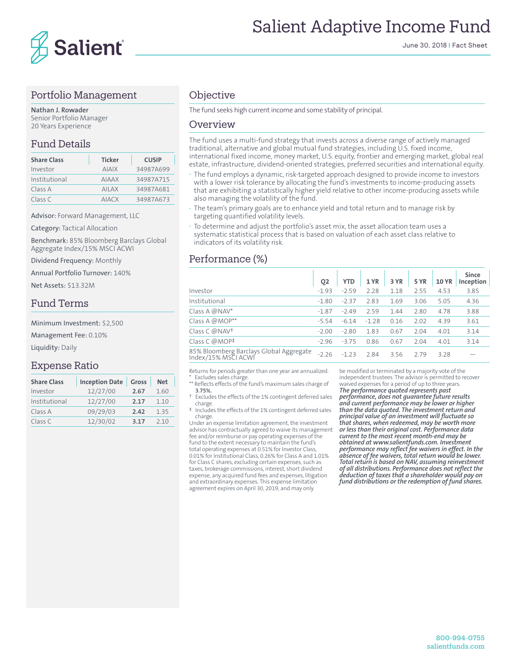

# Salient Adaptive Income Fund

#### Portfolio Management

**Nathan J. Rowader** Senior Portfolio Manager 20 Years Experience

## Fund Details

| <b>Share Class</b> | <b>Ticker</b> | <b>CUSIP</b> |
|--------------------|---------------|--------------|
| Investor           | <b>AIAIX</b>  | 34987A699    |
| Institutional      | <b>AIAAX</b>  | 34987A715    |
| Class A            | <b>AILAX</b>  | 34987A681    |
| Class C            | <b>AIACX</b>  | 34987A673    |

Advisor: Forward Management, LLC

Category: Tactical Allocation

Benchmark: 85% Bloomberg Barclays Global Aggregate Index/15% MSCI ACWI

Dividend Frequency: Monthly

Annual Portfolio Turnover: 140%

Net Assets: \$13.32M

#### Fund Terms

Minimum Investment: \$2,500

Management Fee: 0.10%

Liquidity: Daily

#### Expense Ratio

| <b>Share Class</b> | Inception Date | Gross | <b>Net</b> |
|--------------------|----------------|-------|------------|
| Investor           | 12/27/00       | 2.67  | 1.60       |
| Institutional      | 12/27/00       | 2.17  | 1.10       |
| Class A            | 09/29/03       | 2.42  | 1.35       |
| Class C            | 12/30/02       | 3.17  | 210        |

## **Objective**

The fund seeks high current income and some stability of principal.

#### Overview

The fund uses a multi-fund strategy that invests across a diverse range of actively managed traditional, alternative and global mutual fund strategies, including U.S. fixed income, international fixed income, money market, U.S. equity, frontier and emerging market, global real estate, infrastructure, dividend-oriented strategies, preferred securities and international equity.

- **·** The fund employs a dynamic, risk-targeted approach designed to provide income to investors with a lower risk tolerance by allocating the fund's investments to income-producing assets that are exhibiting a statistically higher yield relative to other income-producing assets while also managing the volatility of the fund.
- **·** The team's primary goals are to enhance yield and total return and to manage risk by targeting quantified volatility levels.
- **·** To determine and adjust the portfolio's asset mix, the asset allocation team uses a systematic statistical process that is based on valuation of each asset class relative to indicators of its volatility risk.

## Performance (%)

| Q <sub>2</sub> | <b>YTD</b> | 1 YR    | 3 YR | 5 YR | <b>10 YR</b> | <b>Since</b><br>Inception |
|----------------|------------|---------|------|------|--------------|---------------------------|
| $-1.93$        | $-2.59$    | 2.28    | 1.18 | 2.55 | 4.53         | 3.85                      |
| $-1.80$        | $-2.37$    | 2.83    | 1.69 | 3.06 | 5.05         | 4.36                      |
| $-1.87$        | $-2.49$    | 2.59    | 1.44 | 2.80 | 4.78         | 3.88                      |
| $-5.54$        | $-6.14$    | $-1.28$ | 0.16 | 2.02 | 4.39         | 3.61                      |
| $-2.00$        | $-2.80$    | 1.83    | 0.67 | 2.04 | 4.01         | 3.14                      |
| $-2.96$        | $-3.75$    | 0.86    | 0.67 | 2.04 | 4.01         | 3.14                      |
| $-2.26$        | $-1.23$    | 2.84    | 3.56 | 2.79 | 3.28         |                           |
|                |            |         |      |      |              |                           |

Returns for periods greater than one year are annualized. Excludes sales charge.

\*\* Reflects effects of the fund's maximum sales charge of **3.75%.**

- † Excludes the effects of the 1% contingent deferred sales charge.
- ‡ Includes the effects of the 1% contingent deferred sales charge.

Under an expense limitation agreement, the investment advisor has contractually agreed to waive its management fee and/or reimburse or pay operating expenses of the fund to the extent necessary to maintain the fund's total operating expenses at 0.51% for Investor Class, 0.01% for Institutional Class, 0.26% for Class A and 1.01% for Class C shares, excluding certain expenses, such as taxes, brokerage commissions, interest, short dividend expense, any acquired fund fees and expenses, litigation and extraordinary expenses. This expense limitation agreement expires on April 30, 2019, and may only

be modified or terminated by a majority vote of the independent trustees. The advisor is permitted to recover waived expenses for a period of up to three years. *The performance quoted represents past* 

*performance, does not guarantee future results and current performance may be lower or higher than the data quoted. The investment return and principal value of an investment will fluctuate so that shares, when redeemed, may be worth more or less than their original cost. Performance data current to the most recent month-end may be obtained at www.salientfunds.com. Investment performance may reflect fee waivers in effect. In the absence of fee waivers, total return would be lower. Total return is based on NAV, assuming reinvestment of all distributions. Performance does not reflect the deduction of taxes that a shareholder would pay on fund distributions or the redemption of fund shares.*